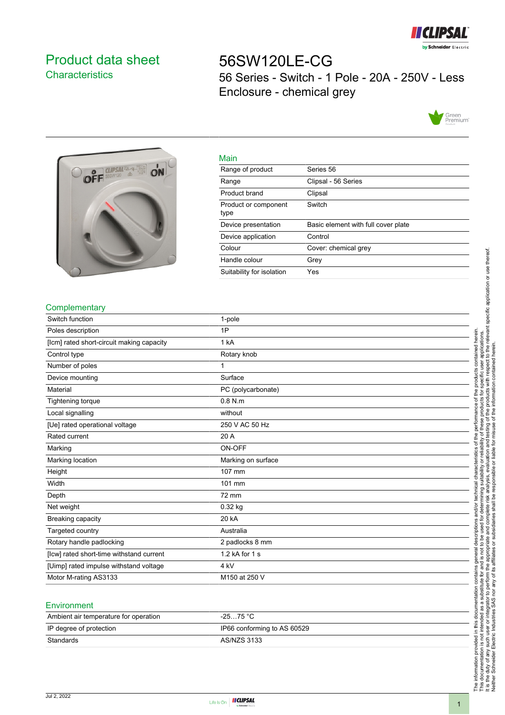

## <span id="page-0-0"></span>Product data sheet **Characteristics**

# 56SW120LE-CG 56 Series - Switch - 1 Pole - 20A - 250V - Less Enclosure - chemical grey





| ivialit                      |                                     |
|------------------------------|-------------------------------------|
| Range of product             | Series 56                           |
| Range                        | Clipsal - 56 Series                 |
| Product brand                | Clipsal                             |
| Product or component<br>type | Switch                              |
| Device presentation          | Basic element with full cover plate |
| Device application           | Control                             |
| Colour                       | Cover: chemical grey                |
| Handle colour                | Grev                                |
| Suitability for isolation    | Yes                                 |

#### **Complementary**

| Switch function                           | 1-pole             |
|-------------------------------------------|--------------------|
| Poles description                         | 1P                 |
| [Icm] rated short-circuit making capacity | 1 kA               |
| Control type                              | Rotary knob        |
| Number of poles                           | 1                  |
| Device mounting                           | Surface            |
| Material                                  | PC (polycarbonate) |
| Tightening torque                         | $0.8$ N.m.         |
| Local signalling                          | without            |
| [Ue] rated operational voltage            | 250 V AC 50 Hz     |
| Rated current                             | 20 A               |
| Marking                                   | ON-OFF             |
| Marking location                          | Marking on surface |
| Height                                    | 107 mm             |
| Width                                     | 101 mm             |
| Depth                                     | 72 mm              |
| Net weight                                | 0.32 kg            |
| Breaking capacity                         | 20 kA              |
| Targeted country                          | Australia          |
| Rotary handle padlocking                  | 2 padlocks 8 mm    |
| [lcw] rated short-time withstand current  | 1.2 kA for 1 s     |
| [Uimp] rated impulse withstand voltage    | 4 <sub>kV</sub>    |
| Motor M-rating AS3133                     | M150 at 250 V      |
|                                           |                    |

Main

#### **Environment**

| Ambient air temperature for operation | -25…75 °C                   |
|---------------------------------------|-----------------------------|
| IP degree of protection               | IP66 conforming to AS 60529 |
| Standards                             | AS/NZS 3133                 |